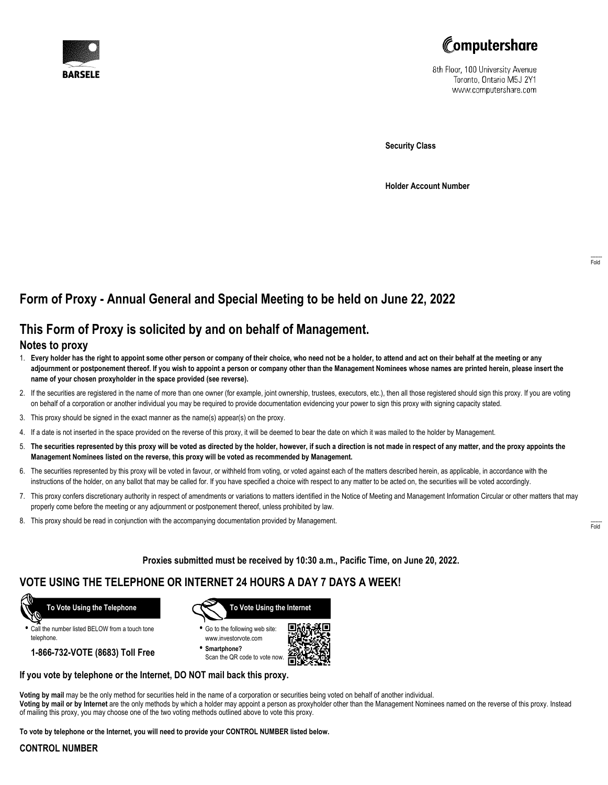



8th Floor, 100 University Avenue Toronto, Ontario M5J 2Y1 www.computershare.com

**Security Class**

**Holder Account Number**

# **Form of Proxy - Annual General and Special Meeting to be held on June 22, 2022**

## **This Form of Proxy is solicited by and on behalf of Management.**

### **Notes to proxy**

- 1. **Every holder has the right to appoint some other person or company of their choice, who need not be a holder, to attend and act on their behalf at the meeting or any adjournment or postponement thereof. If you wish to appoint a person or company other than the Management Nominees whose names are printed herein, please insert the name of your chosen proxyholder in the space provided (see reverse).**
- 2. If the securities are registered in the name of more than one owner (for example, joint ownership, trustees, executors, etc.), then all those registered should sign this proxy. If you are voting on behalf of a corporation or another individual you may be required to provide documentation evidencing your power to sign this proxy with signing capacity stated.
- 3. This proxy should be signed in the exact manner as the name(s) appear(s) on the proxy.
- 4. If a date is not inserted in the space provided on the reverse of this proxy, it will be deemed to bear the date on which it was mailed to the holder by Management.
- 5. **The securities represented by this proxy will be voted as directed by the holder, however, if such a direction is not made in respect of any matter, and the proxy appoints the Management Nominees listed on the reverse, this proxy will be voted as recommended by Management.**
- 6. The securities represented by this proxy will be voted in favour, or withheld from voting, or voted against each of the matters described herein, as applicable, in accordance with the instructions of the holder, on any ballot that may be called for. If you have specified a choice with respect to any matter to be acted on, the securities will be voted accordingly.
- 7. This proxy confers discretionary authority in respect of amendments or variations to matters identified in the Notice of Meeting and Management Information Circular or other matters that may properly come before the meeting or any adjournment or postponement thereof, unless prohibited by law.
- 8. This proxy should be read in conjunction with the accompanying documentation provided by Management.

**Proxies submitted must be received by 10:30 a.m., Pacific Time, on June 20, 2022.**

## **VOTE USING THE TELEPHONE OR INTERNET 24 HOURS A DAY 7 DAYS A WEEK!**



**•** Call the number listed BELOW from a touch tone telephone.

**1-866-732-VOTE (8683) Toll Free**



**•** Go to the following web site: www.investorvote.com

**• Smartphone?** Scan the QR code to vote now.



### **If you vote by telephone or the Internet, DO NOT mail back this proxy.**

**Voting by mail** may be the only method for securities held in the name of a corporation or securities being voted on behalf of another individual. **Voting by mail or by Internet** are the only methods by which a holder may appoint a person as proxyholder other than the Management Nominees named on the reverse of this proxy. Instead of mailing this proxy, you may choose one of the two voting methods outlined above to vote this proxy.

**To vote by telephone or the Internet, you will need to provide your CONTROL NUMBER listed below.**

#### **CONTROL NUMBER**